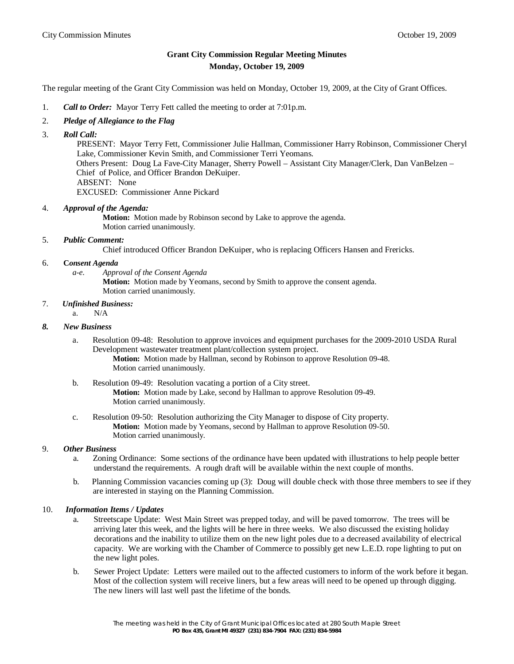# **Grant City Commission Regular Meeting Minutes Monday, October 19, 2009**

The regular meeting of the Grant City Commission was held on Monday, October 19, 2009, at the City of Grant Offices.

- 1. *Call to Order:* Mayor Terry Fett called the meeting to order at 7:01p.m.
- 2. *Pledge of Allegiance to the Flag*
- 3. *Roll Call:*

 PRESENT: Mayor Terry Fett, Commissioner Julie Hallman, Commissioner Harry Robinson, Commissioner Cheryl Lake, Commissioner Kevin Smith, and Commissioner Terri Yeomans. Others Present: Doug La Fave-City Manager, Sherry Powell – Assistant City Manager/Clerk, Dan VanBelzen – Chief of Police, and Officer Brandon DeKuiper. ABSENT: None EXCUSED: Commissioner Anne Pickard

### 4. *Approval of the Agenda:*

**Motion:** Motion made by Robinson second by Lake to approve the agenda. Motion carried unanimously.

# 5. *Public Comment:*

Chief introduced Officer Brandon DeKuiper, who is replacing Officers Hansen and Frericks.

#### 6. **C***onsent Agenda*

- *a-e. Approval of the Consent Agenda*
	- **Motion:** Motion made by Yeomans, second by Smith to approve the consent agenda. Motion carried unanimously.

### 7. *Unfinished Business:*

a.  $N/A$ 

### *8. New Business*

a. Resolution 09-48: Resolution to approve invoices and equipment purchases for the 2009-2010 USDA Rural Development wastewater treatment plant/collection system project. **Motion:** Motion made by Hallman, second by Robinson to approve Resolution 09-48.

Motion carried unanimously.

- b. Resolution 09-49: Resolution vacating a portion of a City street. **Motion:** Motion made by Lake, second by Hallman to approve Resolution 09-49. Motion carried unanimously.
- c. Resolution 09-50: Resolution authorizing the City Manager to dispose of City property. **Motion:** Motion made by Yeomans, second by Hallman to approve Resolution 09-50. Motion carried unanimously.

### 9. *Other Business*

- a.Zoning Ordinance: Some sections of the ordinance have been updated with illustrations to help people better understand the requirements. A rough draft will be available within the next couple of months.
- b. Planning Commission vacancies coming up (3): Doug will double check with those three members to see if they are interested in staying on the Planning Commission.

### 10. *Information Items / Updates*

- a. Streetscape Update: West Main Street was prepped today, and will be paved tomorrow. The trees will be arriving later this week, and the lights will be here in three weeks. We also discussed the existing holiday decorations and the inability to utilize them on the new light poles due to a decreased availability of electrical capacity. We are working with the Chamber of Commerce to possibly get new L.E.D. rope lighting to put on the new light poles.
- b. Sewer Project Update: Letters were mailed out to the affected customers to inform of the work before it began. Most of the collection system will receive liners, but a few areas will need to be opened up through digging. The new liners will last well past the lifetime of the bonds.